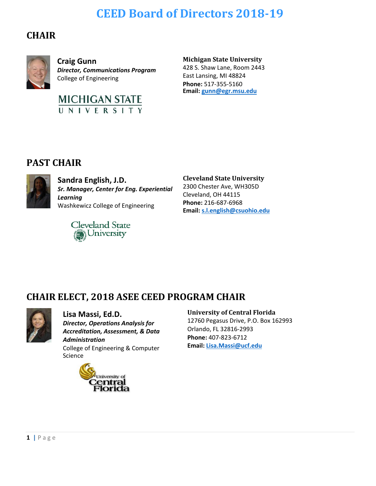# **CEED Board of Directors 2018-19**

## **CHAIR**



**Craig Gunn** *Director, Communications Program* College of Engineering



#### **Michigan State University**

428 S. Shaw Lane, Room 2443 East Lansing, MI 48824 **Phone:** 517-355-5160 **Email[: gunn@egr.msu.edu](mailto:gunn@egr.msu.edu)**

## **PAST CHAIR**



**Sandra English, J.D.** *Sr. Manager, Center for Eng. Experiential Learning* Washkewicz College of Engineering



**Cleveland State University**  2300 Chester Ave, WH305D

Cleveland, OH 44115 **Phone:** 216-687-6968 **Email[: s.l.english@csuohio.edu](mailto:s.l.english@csuohio.edu)**

## **CHAIR ELECT, 2018 ASEE CEED PROGRAM CHAIR**



**Lisa Massi, Ed.D.** *Director, Operations Analysis for Accreditation, Assessment, & Data Administration* College of Engineering & Computer Science



#### **University of Central Florida**

12760 Pegasus Drive, P.O. Box 162993 Orlando, FL 32816-2993 **Phone:** 407-823-6712 **Email: [Lisa.Massi@ucf.edu](mailto:Lisa.Massi@ucf.edu)**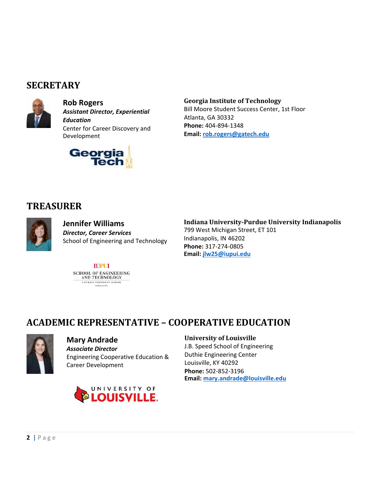## **SECRETARY**



**Rob Rogers** *Assistant Director, Experiential Education* Center for Career Discovery and Development



**Georgia Institute of Technology** Bill Moore Student Success Center, 1st Floor Atlanta, GA 30332 **Phone:** 404-894-1348 **Email: [rob.rogers@gatech.edu](mailto:rob.rogers@gatech.edu)**

## **TREASURER**



**Jennifer Williams** *Director, Career Services* School of Engineering and Technology

#### **Indiana University-Purdue University Indianapolis**

799 West Michigan Street, ET 101 Indianapolis, IN 46202 **Phone:** 317-274-0805 **Email: [jlw25@iupui.edu](mailto:jlw25@iupui.edu)**

#### **IUPUI** SCHOOL OF ENGINEERING<br>AND TECHNOLOGY A PURDUE UNIVERSITY SCHOOL Indianapolis

## **ACADEMIC REPRESENTATIVE – COOPERATIVE EDUCATION**



### **Mary Andrade**

*Associate Director* Engineering Cooperative Education & Career Development



#### **University of Louisville**

J.B. Speed School of Engineering Duthie Engineering Center Louisville, KY 40292 **Phone:** 502-852-3196 **Email: [mary.andrade@louisville.edu](mailto:mary.andrade@louisville.edu)**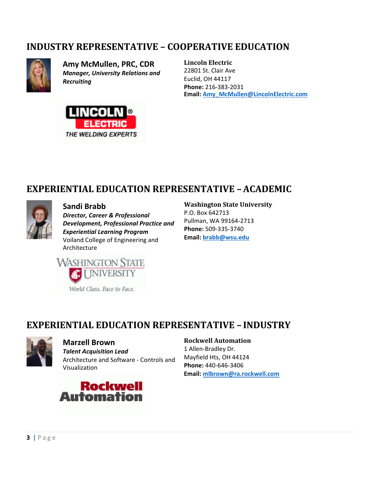## **INDUSTRY REPRESENTATIVE – COOPERATIVE EDUCATION**



**Amy McMullen, PRC, CDR** *Manager, University Relations and Recruiting*



**Lincoln Electric**  22801 St. Clair Ave Euclid, OH 44117 **Phone:** 216-383-2031 **Email: [Amy\\_McMullen@LincolnElectric.com](mailto:Amy_McMullen@LincolnElectric.com)**

## **EXPERIENTIAL EDUCATION REPRESENTATIVE –ACADEMIC**



**Sandi Brabb** *Director, Career & Professional Development, Professional Practice and Experiential Learning Program* Voiland College of Engineering and Architecture

#### **Washington State University**

P.O. Box 642713 Pullman, WA 99164-2713 **Phone:** 509-335-3740 **Email: [brabb@wsu.edu](mailto:brabb@wsu.edu)**



## **EXPERIENTIAL EDUCATION REPRESENTATIVE – INDUSTRY**



#### **Marzell Brown**

*Talent Acquisition Lead* Architecture and Software - Controls and Visualization



#### **Rockwell Automation**

1 Allen-Bradley Dr. Mayfield Hts, OH 44124 **Phone:** 440-646-3406 **Email: [mlbrown@ra.rockwell.com](mailto:mlbrown@ra.rockwell.com)**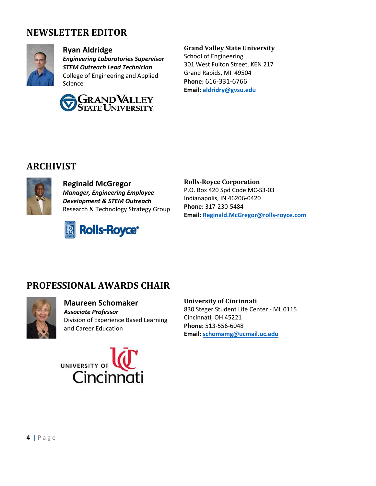## **NEWSLETTER EDITOR**



#### **Ryan Aldridge**

*Engineering Laboratories Supervisor STEM Outreach Lead Technician* College of Engineering and Applied Science



#### **Grand Valley State University**

School of Engineering 301 West Fulton Street, KEN 217 Grand Rapids, MI 49504 **Phone:** 616-331-6766 **Email: [aldridry@gvsu.edu](mailto:aldridry@gvsu.edu)**

## **ARCHIVIST**



#### **Reginald McGregor** *Manager, Engineering Employee Development & STEM Outreach*  Research & Technology Strategy Group



#### **Rolls-Royce Corporation**

P.O. Box 420 Spd Code MC-S3-03 Indianapolis, IN 46206-0420 **Phone:** 317-230-5484 **Email: [Reginald.McGregor@rolls-royce.com](mailto:Reginald.McGregor@rolls-royce.com)**

## **PROFESSIONAL AWARDS CHAIR**



#### **Maureen Schomaker** *Associate Professor* Division of Experience Based Learning and Career Education



#### **University of Cincinnati**

830 Steger Student Life Center - ML 0115 Cincinnati, OH 45221 **Phone:** 513-556-6048 **Email: [schomamg@ucmail.uc.edu](mailto:schomamg@ucmail.uc.edu)**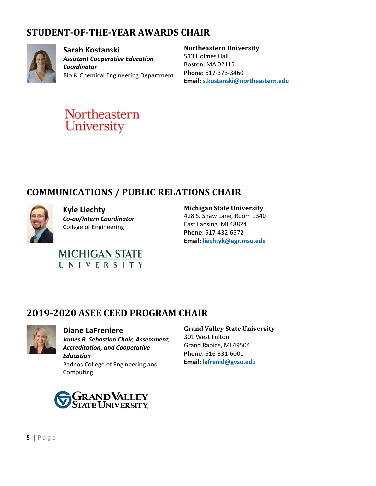# **STUDENT-OF-THE-YEAR AWARDS CHAIR**



**Sarah Kostanski** *Assistant Cooperative Education Coordinator* Bio & Chemical Engineering Department

#### **Northeastern University**

513 Holmes Hall Boston, MA 02115 **Phone:** 617-373-3460 **Email: [s.kostanski@northeastern.edu](mailto:s.kostanski@northeastern.edu)**



# **COMMUNICATIONS / PUBLIC RELATIONS CHAIR**



**Kyle Liechty** *Co-op/Intern Coordinator* College of Engineering



**Michigan State University** 

428 S. Shaw Lane, Room 1340 East Lansing, MI 48824 **Phone:** 517-432-6572 **Email: [liechtyk@egr.msu.edu](mailto:liechtyk@egr.msu.edu)**

## **2019-2020 ASEE CEED PROGRAM CHAIR**



**Diane LaFreniere**

*James R. Sebastian Chair, Assessment, Accreditation, and Cooperative Education* Padnos College of Engineering and Computing

# **GRAND VALLEY**<br>State University

## **Grand Valley State University**

301 West Fulton Grand Rapids, MI 49504 **Phone:** 616-331-6001 **Email: [lafrenid@gvsu.edu](mailto:lafrenid@gvsu.edu)**